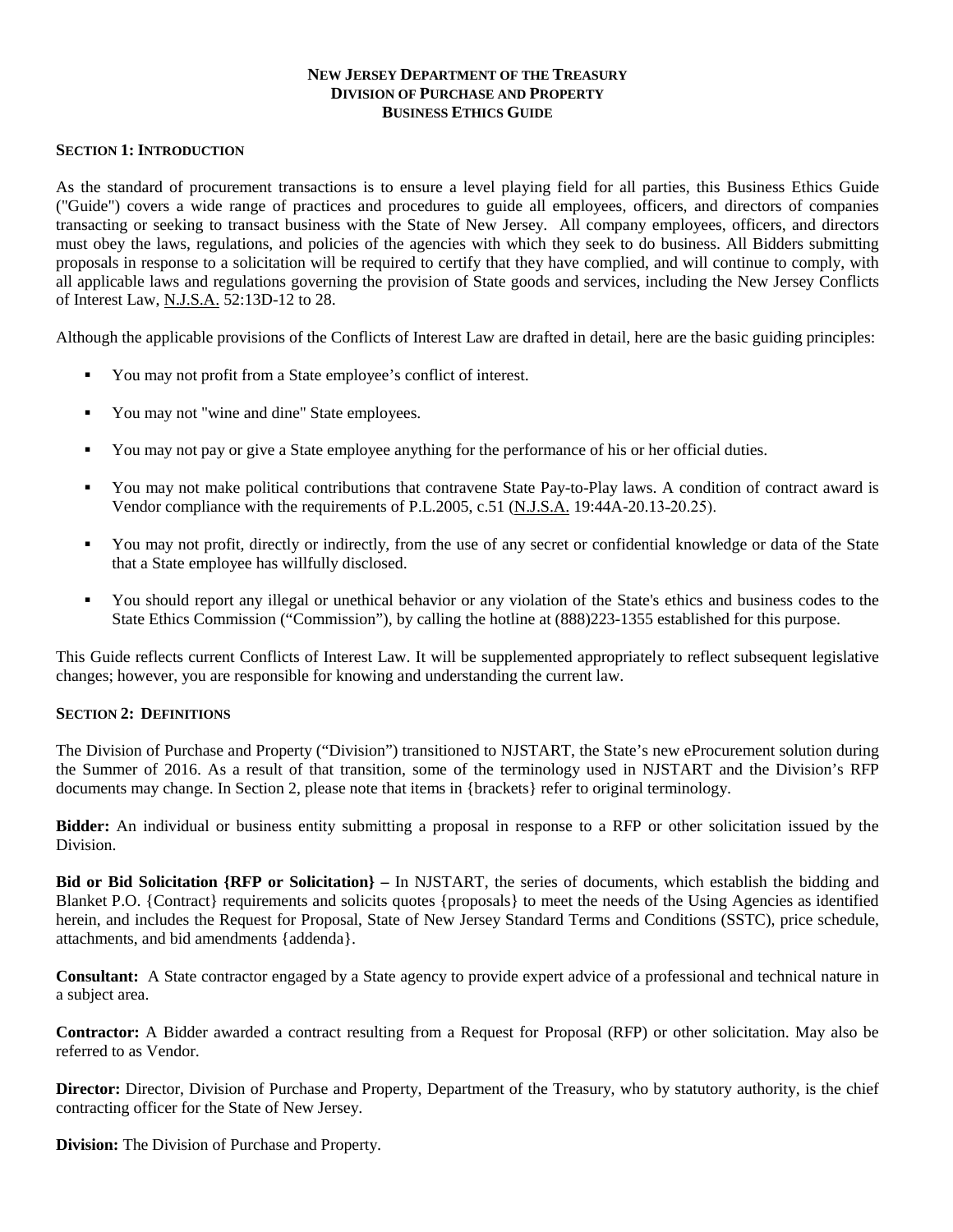# **NEW JERSEY DEPARTMENT OF THE TREASURY DIVISION OF PURCHASE AND PROPERTY BUSINESS ETHICS GUIDE**

# **SECTION 1: INTRODUCTION**

As the standard of procurement transactions is to ensure a level playing field for all parties, this Business Ethics Guide ("Guide") covers a wide range of practices and procedures to guide all employees, officers, and directors of companies transacting or seeking to transact business with the State of New Jersey. All company employees, officers, and directors must obey the laws, regulations, and policies of the agencies with which they seek to do business. All Bidders submitting proposals in response to a solicitation will be required to certify that they have complied, and will continue to comply, with all applicable laws and regulations governing the provision of State goods and services, including the New Jersey Conflicts of Interest Law, N.J.S.A. 52:13D-12 to 28.

Although the applicable provisions of the Conflicts of Interest Law are drafted in detail, here are the basic guiding principles:

- You may not profit from a State employee's conflict of interest.
- You may not "wine and dine" State employees.
- You may not pay or give a State employee anything for the performance of his or her official duties.
- You may not make political contributions that contravene State Pay-to-Play laws. A condition of contract award is Vendor compliance with the requirements of P.L.2005, c.51 (N.J.S.A. 19:44A-20.13-20.25).
- You may not profit, directly or indirectly, from the use of any secret or confidential knowledge or data of the State that a State employee has willfully disclosed.
- You should report any illegal or unethical behavior or any violation of the State's ethics and business codes to the State Ethics Commission ("Commission"), by calling the hotline at (888)223-1355 established for this purpose.

This Guide reflects current Conflicts of Interest Law. It will be supplemented appropriately to reflect subsequent legislative changes; however, you are responsible for knowing and understanding the current law.

# **SECTION 2: DEFINITIONS**

The Division of Purchase and Property ("Division") transitioned to NJSTART, the State's new eProcurement solution during the Summer of 2016. As a result of that transition, some of the terminology used in NJSTART and the Division's RFP documents may change. In Section 2, please note that items in {brackets} refer to original terminology.

**Bidder:** An individual or business entity submitting a proposal in response to a RFP or other solicitation issued by the Division.

**Bid or Bid Solicitation {RFP or Solicitation} –** In NJSTART, the series of documents, which establish the bidding and Blanket P.O. {Contract} requirements and solicits quotes {proposals} to meet the needs of the Using Agencies as identified herein, and includes the Request for Proposal, State of New Jersey Standard Terms and Conditions (SSTC), price schedule, attachments, and bid amendments {addenda}.

**Consultant:** A State contractor engaged by a State agency to provide expert advice of a professional and technical nature in a subject area.

**Contractor:** A Bidder awarded a contract resulting from a Request for Proposal (RFP) or other solicitation. May also be referred to as Vendor.

**Director:** Director, Division of Purchase and Property, Department of the Treasury, who by statutory authority, is the chief contracting officer for the State of New Jersey.

**Division:** The Division of Purchase and Property.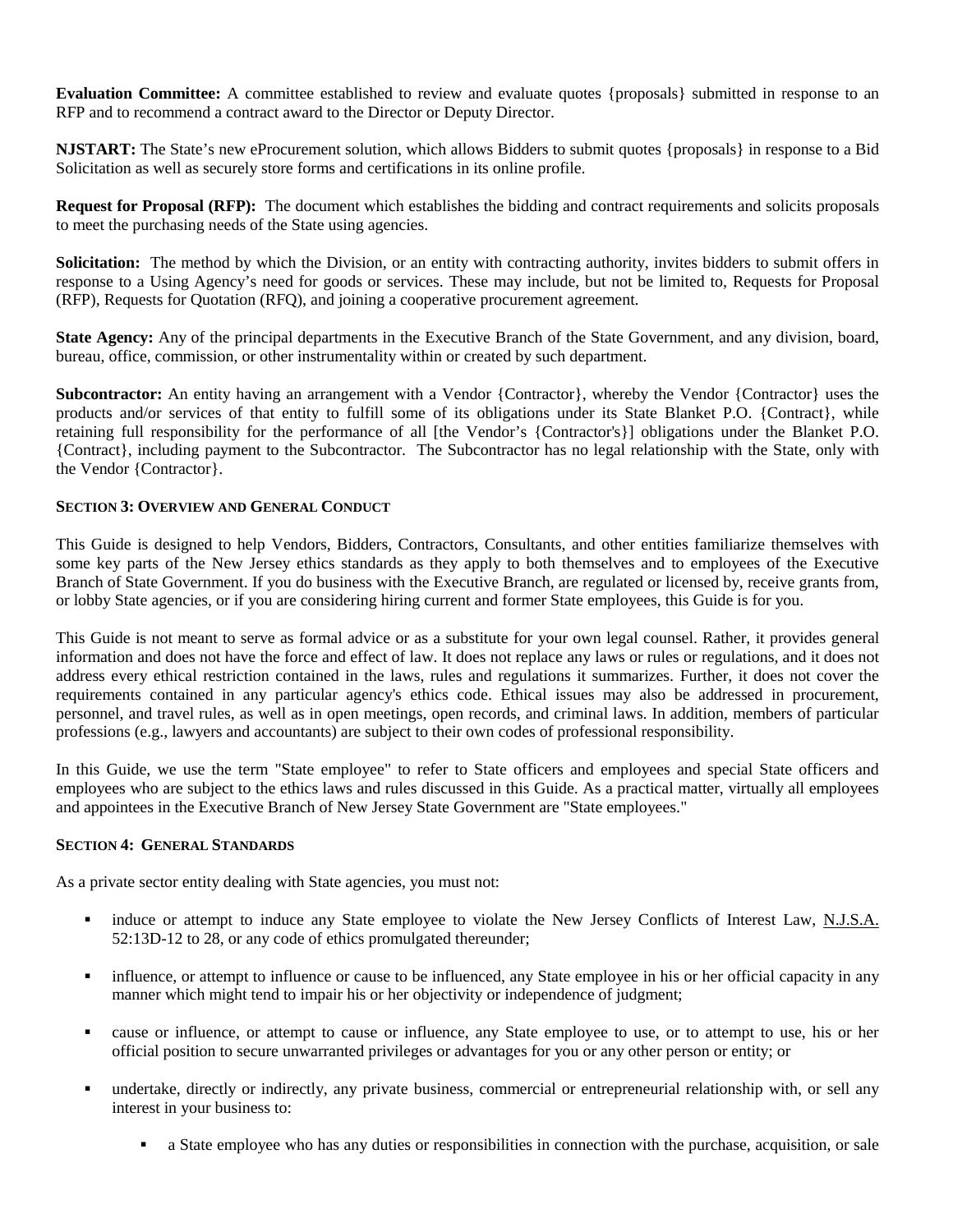**Evaluation Committee:** A committee established to review and evaluate quotes {proposals} submitted in response to an RFP and to recommend a contract award to the Director or Deputy Director.

**NJSTART:** The State's new eProcurement solution, which allows Bidders to submit quotes {proposals} in response to a Bid Solicitation as well as securely store forms and certifications in its online profile.

**Request for Proposal (RFP):** The document which establishes the bidding and contract requirements and solicits proposals to meet the purchasing needs of the State using agencies.

**Solicitation:** The method by which the Division, or an entity with contracting authority, invites bidders to submit offers in response to a Using Agency's need for goods or services. These may include, but not be limited to, Requests for Proposal (RFP), Requests for Quotation (RFQ), and joining a cooperative procurement agreement.

**State Agency:** Any of the principal departments in the Executive Branch of the State Government, and any division, board, bureau, office, commission, or other instrumentality within or created by such department.

**Subcontractor:** An entity having an arrangement with a Vendor {Contractor}, whereby the Vendor {Contractor} uses the products and/or services of that entity to fulfill some of its obligations under its State Blanket P.O. {Contract}, while retaining full responsibility for the performance of all [the Vendor's {Contractor's}] obligations under the Blanket P.O. {Contract}, including payment to the Subcontractor. The Subcontractor has no legal relationship with the State, only with the Vendor {Contractor}.

# **SECTION 3: OVERVIEW AND GENERAL CONDUCT**

This Guide is designed to help Vendors, Bidders, Contractors, Consultants, and other entities familiarize themselves with some key parts of the New Jersey ethics standards as they apply to both themselves and to employees of the Executive Branch of State Government. If you do business with the Executive Branch, are regulated or licensed by, receive grants from, or lobby State agencies, or if you are considering hiring current and former State employees, this Guide is for you.

This Guide is not meant to serve as formal advice or as a substitute for your own legal counsel. Rather, it provides general information and does not have the force and effect of law. It does not replace any laws or rules or regulations, and it does not address every ethical restriction contained in the laws, rules and regulations it summarizes. Further, it does not cover the requirements contained in any particular agency's ethics code. Ethical issues may also be addressed in procurement, personnel, and travel rules, as well as in open meetings, open records, and criminal laws. In addition, members of particular professions (e.g., lawyers and accountants) are subject to their own codes of professional responsibility.

In this Guide, we use the term "State employee" to refer to State officers and employees and special State officers and employees who are subject to the ethics laws and rules discussed in this Guide. As a practical matter, virtually all employees and appointees in the Executive Branch of New Jersey State Government are "State employees."

# **SECTION 4: GENERAL STANDARDS**

As a private sector entity dealing with State agencies, you must not:

- induce or attempt to induce any State employee to violate the New Jersey Conflicts of Interest Law, N.J.S.A. 52:13D-12 to 28, or any code of ethics promulgated thereunder;
- influence, or attempt to influence or cause to be influenced, any State employee in his or her official capacity in any manner which might tend to impair his or her objectivity or independence of judgment;
- cause or influence, or attempt to cause or influence, any State employee to use, or to attempt to use, his or her official position to secure unwarranted privileges or advantages for you or any other person or entity; or
- undertake, directly or indirectly, any private business, commercial or entrepreneurial relationship with, or sell any interest in your business to:
	- a State employee who has any duties or responsibilities in connection with the purchase, acquisition, or sale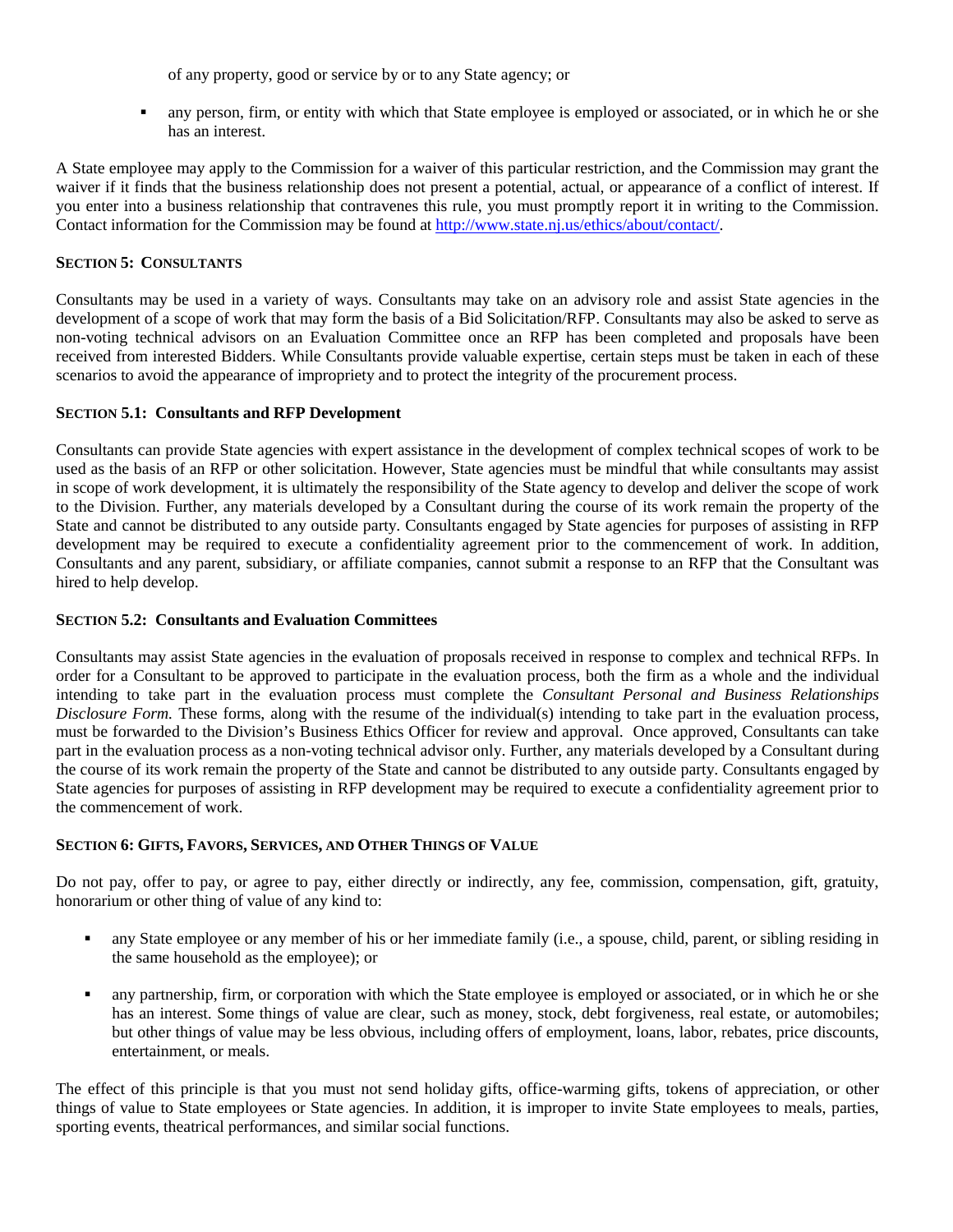of any property, good or service by or to any State agency; or

 any person, firm, or entity with which that State employee is employed or associated, or in which he or she has an interest.

A State employee may apply to the Commission for a waiver of this particular restriction, and the Commission may grant the waiver if it finds that the business relationship does not present a potential, actual, or appearance of a conflict of interest. If you enter into a business relationship that contravenes this rule, you must promptly report it in writing to the Commission. Contact information for the Commission may be found at [http://www.state.nj.us/ethics/about/contact/.](http://www.state.nj.us/ethics/about/contact/)

#### **SECTION 5: CONSULTANTS**

Consultants may be used in a variety of ways. Consultants may take on an advisory role and assist State agencies in the development of a scope of work that may form the basis of a Bid Solicitation/RFP. Consultants may also be asked to serve as non-voting technical advisors on an Evaluation Committee once an RFP has been completed and proposals have been received from interested Bidders. While Consultants provide valuable expertise, certain steps must be taken in each of these scenarios to avoid the appearance of impropriety and to protect the integrity of the procurement process.

#### **SECTION 5.1: Consultants and RFP Development**

Consultants can provide State agencies with expert assistance in the development of complex technical scopes of work to be used as the basis of an RFP or other solicitation. However, State agencies must be mindful that while consultants may assist in scope of work development, it is ultimately the responsibility of the State agency to develop and deliver the scope of work to the Division. Further, any materials developed by a Consultant during the course of its work remain the property of the State and cannot be distributed to any outside party. Consultants engaged by State agencies for purposes of assisting in RFP development may be required to execute a confidentiality agreement prior to the commencement of work. In addition, Consultants and any parent, subsidiary, or affiliate companies, cannot submit a response to an RFP that the Consultant was hired to help develop.

#### **SECTION 5.2: Consultants and Evaluation Committees**

Consultants may assist State agencies in the evaluation of proposals received in response to complex and technical RFPs. In order for a Consultant to be approved to participate in the evaluation process, both the firm as a whole and the individual intending to take part in the evaluation process must complete the *Consultant Personal and Business Relationships Disclosure Form.* These forms, along with the resume of the individual(s) intending to take part in the evaluation process, must be forwarded to the Division's Business Ethics Officer for review and approval. Once approved, Consultants can take part in the evaluation process as a non-voting technical advisor only. Further, any materials developed by a Consultant during the course of its work remain the property of the State and cannot be distributed to any outside party. Consultants engaged by State agencies for purposes of assisting in RFP development may be required to execute a confidentiality agreement prior to the commencement of work.

# **SECTION 6: GIFTS, FAVORS, SERVICES, AND OTHER THINGS OF VALUE**

Do not pay, offer to pay, or agree to pay, either directly or indirectly, any fee, commission, compensation, gift, gratuity, honorarium or other thing of value of any kind to:

- any State employee or any member of his or her immediate family (i.e., a spouse, child, parent, or sibling residing in the same household as the employee); or
- any partnership, firm, or corporation with which the State employee is employed or associated, or in which he or she has an interest. Some things of value are clear, such as money, stock, debt forgiveness, real estate, or automobiles; but other things of value may be less obvious, including offers of employment, loans, labor, rebates, price discounts, entertainment, or meals.

The effect of this principle is that you must not send holiday gifts, office-warming gifts, tokens of appreciation, or other things of value to State employees or State agencies. In addition, it is improper to invite State employees to meals, parties, sporting events, theatrical performances, and similar social functions.